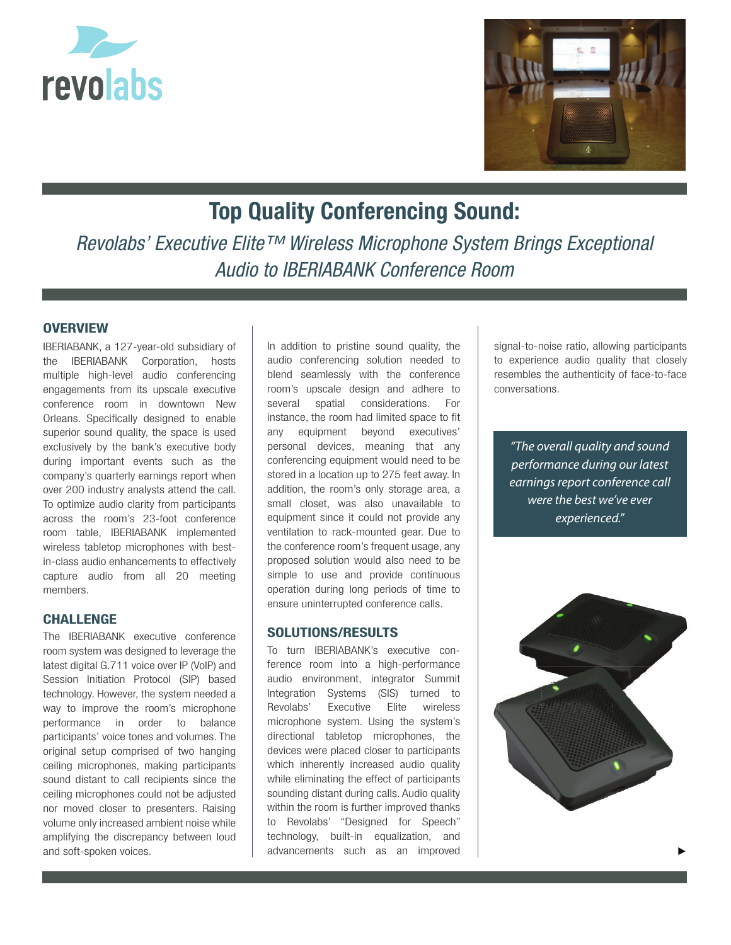



# **Top Quality Conferencing Sound:**

*Revolabs' Executive Elite™ Wireless Microphone System Brings Exceptional Audio to IBERIABANK Conference Room*

## **OVERVIEW**

IBERIABANK, a 127-year-old subsidiary of the IBERIABANK Corporation, hosts multiple high-level audio conferencing engagements from its upscale executive conference room in downtown New Orleans. Specifically designed to enable superior sound quality, the space is used exclusively by the bank's executive body during important events such as the company's quarterly earnings report when over 200 industry analysts attend the call. To optimize audio clarity from participants across the room's 23-foot conference room table, IBERIABANK implemented wireless tabletop microphones with bestin-class audio enhancements to effectively capture audio from all 20 meeting members.

# **CHALLENGE**

The IBERIABANK executive conference room system was designed to leverage the latest digital G.711 voice over IP (VoIP) and Session Initiation Protocol (SIP) based technology. However, the system needed a way to improve the room's microphone performance in order to balance participants' voice tones and volumes. The original setup comprised of two hanging ceiling microphones, making participants sound distant to call recipients since the ceiling microphones could not be adjusted nor moved closer to presenters. Raising volume only increased ambient noise while amplifying the discrepancy between loud and soft-spoken voices.

In addition to pristine sound quality, the audio conferencing solution needed to blend seamlessly with the conference room's upscale design and adhere to several spatial considerations. For instance, the room had limited space to fit any equipment beyond executives' personal devices, meaning that any conferencing equipment would need to be stored in a location up to 275 feet away. In addition, the room's only storage area, a small closet, was also unavailable to equipment since it could not provide any ventilation to rack-mounted gear. Due to the conference room's frequent usage, any proposed solution would also need to be simple to use and provide continuous operation during long periods of time to ensure uninterrupted conference calls.

### **SOLUTIONS/RESULTS**

To turn IBERIABANK's executive conference room into a high-performance audio environment, integrator Summit Integration Systems (SIS) turned to Revolabs' Executive Elite wireless microphone system. Using the system's directional tabletop microphones, the devices were placed closer to participants which inherently increased audio quality while eliminating the effect of participants sounding distant during calls. Audio quality within the room is further improved thanks to Revolabs' "Designed for Speech" technology, built-in equalization, and advancements such as an improved

signal-to-noise ratio, allowing participants to experience audio quality that closely resembles the authenticity of face-to-face conversations.

*"The overall quality and sound performance during our latest earnings report conference call were the best we've ever experienced."*